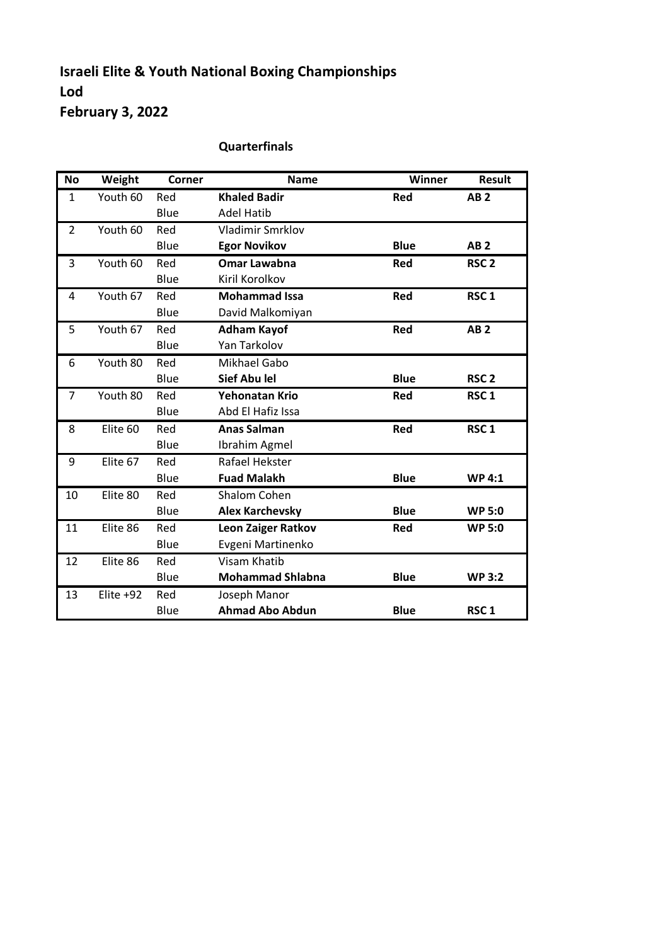## **Israeli Elite & Youth National Boxing Championships Lod February 3, 2022**

| <b>Quarterfinals</b> |
|----------------------|
|----------------------|

| <b>No</b>      | Weight      | <b>Corner</b> | <b>Name</b>             | <b>Winner</b> | <b>Result</b>    |
|----------------|-------------|---------------|-------------------------|---------------|------------------|
| $\mathbf{1}$   | Youth 60    | Red           | <b>Khaled Badir</b>     | Red           | AB <sub>2</sub>  |
|                |             | Blue          | <b>Adel Hatib</b>       |               |                  |
| $\overline{2}$ | Youth 60    | Red           | <b>Vladimir Smrklov</b> |               |                  |
|                |             | Blue          | <b>Egor Novikov</b>     | <b>Blue</b>   | AB <sub>2</sub>  |
| 3              | Youth 60    | Red           | <b>Omar Lawabna</b>     | Red           | RSC <sub>2</sub> |
|                |             | Blue          | Kiril Korolkov          |               |                  |
| 4              | Youth 67    | Red           | <b>Mohammad Issa</b>    | Red           | RSC <sub>1</sub> |
|                |             | Blue          | David Malkomiyan        |               |                  |
| 5              | Youth 67    | Red           | <b>Adham Kayof</b>      | Red           | AB <sub>2</sub>  |
|                |             | Blue          | Yan Tarkolov            |               |                  |
| 6              | Youth 80    | Red           | Mikhael Gabo            |               |                  |
|                |             | Blue          | <b>Sief Abu lel</b>     | <b>Blue</b>   | RSC <sub>2</sub> |
| 7              | Youth 80    | Red           | <b>Yehonatan Krio</b>   | Red           | RSC <sub>1</sub> |
|                |             | Blue          | Abd El Hafiz Issa       |               |                  |
| 8              | Elite 60    | Red           | <b>Anas Salman</b>      | <b>Red</b>    | RSC <sub>1</sub> |
|                |             | Blue          | Ibrahim Agmel           |               |                  |
| 9              | Elite 67    | Red           | Rafael Hekster          |               |                  |
|                |             | Blue          | <b>Fuad Malakh</b>      | <b>Blue</b>   | <b>WP4:1</b>     |
| 10             | Elite 80    | Red           | Shalom Cohen            |               |                  |
|                |             | Blue          | <b>Alex Karchevsky</b>  | <b>Blue</b>   | <b>WP 5:0</b>    |
| 11             | Elite 86    | Red           | Leon Zaiger Ratkov      | <b>Red</b>    | <b>WP 5:0</b>    |
|                |             | Blue          | Evgeni Martinenko       |               |                  |
| 12             | Elite 86    | Red           | Visam Khatib            |               |                  |
|                |             | Blue          | <b>Mohammad Shlabna</b> | <b>Blue</b>   | <b>WP 3:2</b>    |
| 13             | Elite $+92$ | Red           | Joseph Manor            |               |                  |
|                |             | Blue          | <b>Ahmad Abo Abdun</b>  | <b>Blue</b>   | RSC <sub>1</sub> |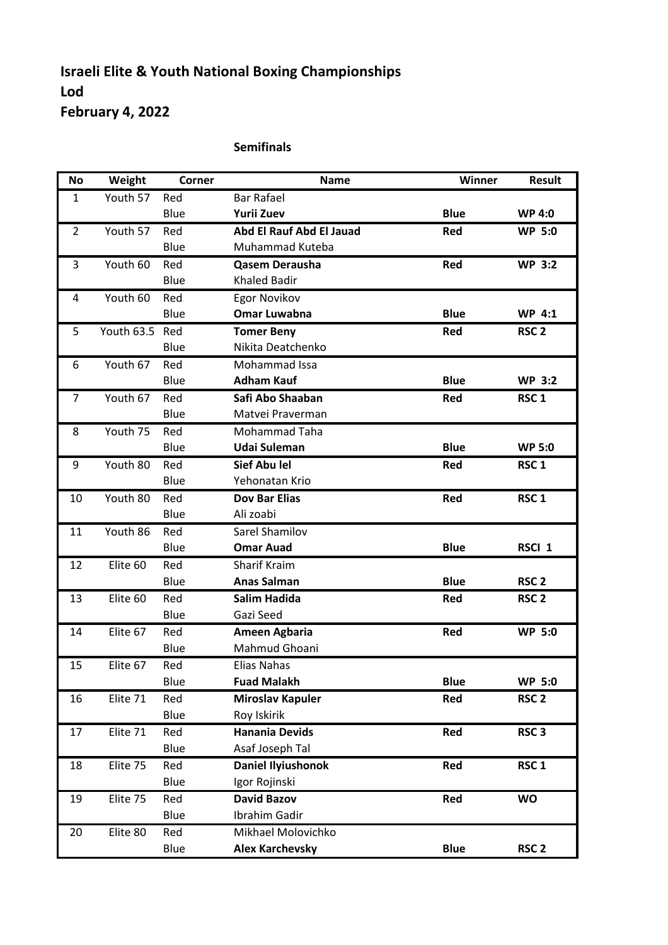## **Israeli Elite & Youth National Boxing Championships Lod February 4, 2022**

| <b>No</b>      | Weight         | Corner | <b>Name</b>               | Winner      | <b>Result</b>     |
|----------------|----------------|--------|---------------------------|-------------|-------------------|
| 1              | Youth 57       | Red    | <b>Bar Rafael</b>         |             |                   |
|                |                | Blue   | <b>Yurii Zuev</b>         | <b>Blue</b> | <b>WP 4:0</b>     |
| $\overline{2}$ | Youth 57       | Red    | Abd El Rauf Abd El Jauad  | Red         | <b>WP 5:0</b>     |
|                |                | Blue   | Muhammad Kuteba           |             |                   |
| 3              | Youth 60       | Red    | Qasem Derausha            | Red         | <b>WP 3:2</b>     |
|                |                | Blue   | <b>Khaled Badir</b>       |             |                   |
| 4              | Youth 60       | Red    | <b>Egor Novikov</b>       |             |                   |
|                |                | Blue   | <b>Omar Luwabna</b>       | <b>Blue</b> | <b>WP 4:1</b>     |
| 5              | Youth 63.5 Red |        | <b>Tomer Beny</b>         | Red         | RSC <sub>2</sub>  |
|                |                | Blue   | Nikita Deatchenko         |             |                   |
| 6              | Youth 67       | Red    | Mohammad Issa             |             |                   |
|                |                | Blue   | <b>Adham Kauf</b>         | <b>Blue</b> | <b>WP 3:2</b>     |
| $\overline{7}$ | Youth 67       | Red    | Safi Abo Shaaban          | <b>Red</b>  | RSC <sub>1</sub>  |
|                |                | Blue   | Matvei Praverman          |             |                   |
| 8              | Youth 75       | Red    | <b>Mohammad Taha</b>      |             |                   |
|                |                | Blue   | <b>Udai Suleman</b>       | <b>Blue</b> | <b>WP 5:0</b>     |
| 9              | Youth 80       | Red    | <b>Sief Abu lel</b>       | Red         | RSC <sub>1</sub>  |
|                |                | Blue   | Yehonatan Krio            |             |                   |
| 10             | Youth 80       | Red    | <b>Dov Bar Elias</b>      | Red         | RSC <sub>1</sub>  |
|                |                | Blue   | Ali zoabi                 |             |                   |
| 11             | Youth 86       | Red    | Sarel Shamilov            |             |                   |
|                |                | Blue   | <b>Omar Auad</b>          | <b>Blue</b> | RSCI <sub>1</sub> |
| 12             | Elite 60       | Red    | Sharif Kraim              |             |                   |
|                |                | Blue   | <b>Anas Salman</b>        | <b>Blue</b> | RSC <sub>2</sub>  |
| 13             | Elite 60       | Red    | <b>Salim Hadida</b>       | Red         | RSC <sub>2</sub>  |
|                |                | Blue   | Gazi Seed                 |             |                   |
| 14             | Elite 67       | Red    | Ameen Agbaria             | Red         | <b>WP 5:0</b>     |
|                |                | Blue   | Mahmud Ghoani             |             |                   |
| 15             | Elite 67       | Red    | <b>Elias Nahas</b>        |             |                   |
|                |                | Blue   | <b>Fuad Malakh</b>        | <b>Blue</b> | <b>WP 5:0</b>     |
| 16             | Elite 71       | Red    | <b>Miroslav Kapuler</b>   | Red         | RSC <sub>2</sub>  |
|                |                | Blue   | Roy Iskirik               |             |                   |
| 17             | Elite 71       | Red    | <b>Hanania Devids</b>     | Red         | RSC <sub>3</sub>  |
|                |                | Blue   | Asaf Joseph Tal           |             |                   |
| 18             | Elite 75       | Red    | <b>Daniel Ilyiushonok</b> | Red         | RSC <sub>1</sub>  |
|                |                | Blue   | Igor Rojinski             |             |                   |
| 19             | Elite 75       | Red    | <b>David Bazov</b>        | Red         | <b>WO</b>         |
|                |                | Blue   | Ibrahim Gadir             |             |                   |
| 20             | Elite 80       | Red    | Mikhael Molovichko        |             |                   |
|                |                | Blue   | <b>Alex Karchevsky</b>    | <b>Blue</b> | RSC <sub>2</sub>  |

## **Semifinals**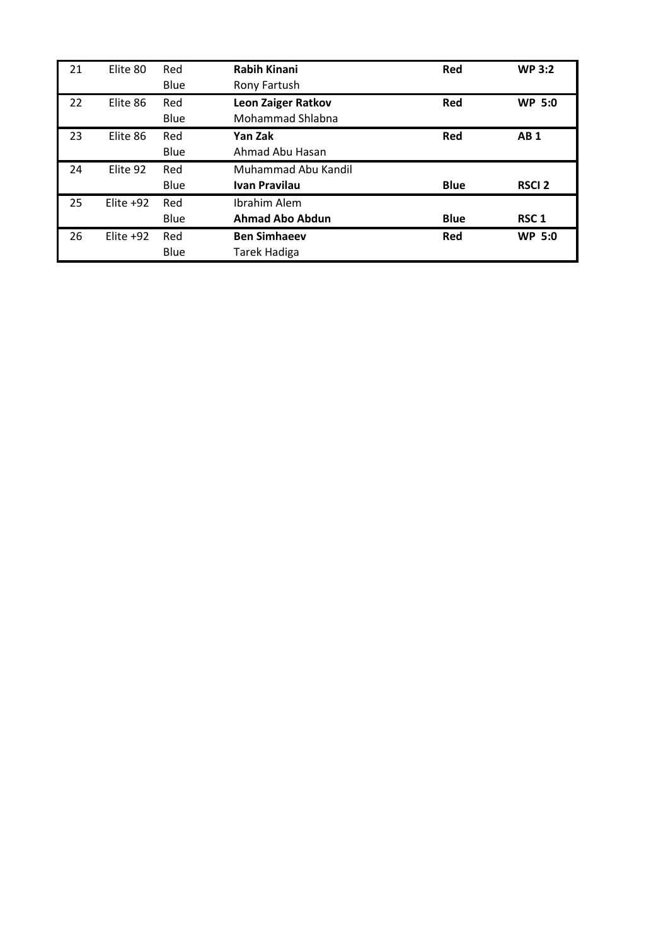| 21 | Elite 80    | Red  | <b>Rabih Kinani</b> | Red         | <b>WP 3:2</b>    |
|----|-------------|------|---------------------|-------------|------------------|
|    |             | Blue | Rony Fartush        |             |                  |
| 22 | Elite 86    | Red  | Leon Zaiger Ratkov  | Red         | <b>WP 5:0</b>    |
|    |             | Blue | Mohammad Shlabna    |             |                  |
| 23 | Elite 86    | Red  | Yan Zak             | Red         | <b>AB1</b>       |
|    |             | Blue | Ahmad Abu Hasan     |             |                  |
| 24 | Elite 92    | Red  | Muhammad Abu Kandil |             |                  |
|    |             | Blue | Ivan Pravilau       | <b>Blue</b> | <b>RSCI 2</b>    |
| 25 | Elite $+92$ | Red  | Ibrahim Alem        |             |                  |
|    |             | Blue | Ahmad Abo Abdun     | <b>Blue</b> | RSC <sub>1</sub> |
| 26 | Elite $+92$ | Red  | <b>Ben Simhaeev</b> | Red         | <b>WP 5:0</b>    |
|    |             | Blue | Tarek Hadiga        |             |                  |